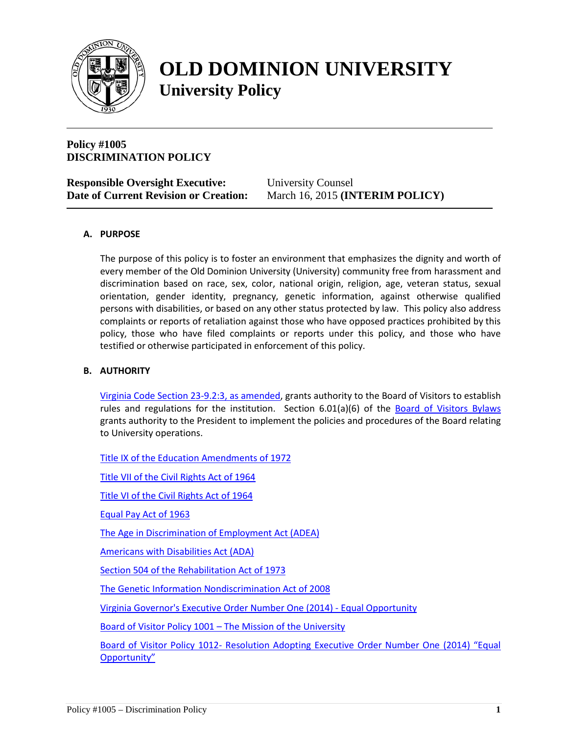

# **OLD DOMINION UNIVERSITY University Policy**

# **Policy #1005 DISCRIMINATION POLICY**

| <b>Responsible Oversight Executive:</b>      | <b>University Counsel</b>                |
|----------------------------------------------|------------------------------------------|
| <b>Date of Current Revision or Creation:</b> | March 16, 2015 ( <b>INTERIM POLICY</b> ) |

# **A. PURPOSE**

The purpose of this policy is to foster an environment that emphasizes the dignity and worth of every member of the Old Dominion University (University) community free from harassment and discrimination based on race, sex, color, national origin, religion, age, veteran status, sexual orientation, gender identity, pregnancy, genetic information, against otherwise qualified persons with disabilities, or based on any other status protected by law. This policy also address complaints or reports of retaliation against those who have opposed practices prohibited by this policy, those who have filed complaints or reports under this policy, and those who have testified or otherwise participated in enforcement of this policy.

#### **B. AUTHORITY**

[Virginia Code Section 23-9.2:3, as amended,](http://leg1.state.va.us/cgi-bin/legp504.exe?000+cod+23-9.2C3) grants authority to the Board of Visitors to establish rules and regulations for the institution. Section 6.01(a)(6) of the [Board of Visitors Bylaws](http://www.odu.edu/about/bov/bov-manual/bylaws) grants authority to the President to implement the policies and procedures of the Board relating to University operations.

[Title IX of the Education Amendments of 1972](http://www.dol.gov/oasam/regs/statutes/titleix.htm)

[Title VII of the Civil Rights Act of 1964](http://www.dol.gov/oasam/regs/statutes/2000e-16.htm)

[Title VI of the Civil Rights Act of 1964](http://www.dol.gov/oasam/regs/statutes/titlevi.htm)

[Equal Pay Act of 1963](http://www.eeoc.gov/laws/statutes/epa.cfm)

[The Age in Discrimination of Employment Act \(ADEA\)](http://www.eeoc.gov/laws/statutes/adea.cfm)

[Americans with Disabilities Act \(ADA\)](http://www.eeoc.gov/laws/statutes/ada.cfm)

[Section 504 of the Rehabilitation Act of 1973](http://www.dol.gov/oasam/regs/statutes/sec504.htm)

[The Genetic Information Nondiscrimination Act of 2008](http://www.eeoc.gov/laws/statutes/gina.cfm)

[Virginia Governor's Executive Order Number One \(2014\) -](https://governor.virginia.gov/media/3378/eo-1-equal-opportunity.pdf) Equal Opportunity

Board of Visitor Policy 1001 – [The Mission of the University](http://www.odu.edu/content/dam/odu/offices/bov/policies/1000/BOV1001.pdf)

Board of Visitor Policy 1012- [Resolution Adopting Executive Order Number One \(2014\) "Equal](http://www.odu.edu/content/dam/odu/offices/bov/policies/1000/BOV1012.pdf)  [Opportunity"](http://www.odu.edu/content/dam/odu/offices/bov/policies/1000/BOV1012.pdf)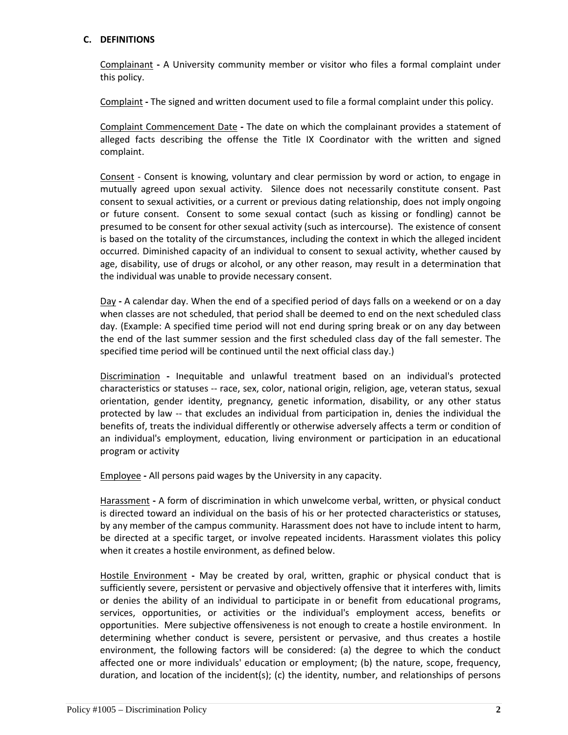## **C. DEFINITIONS**

Complainant **-** A University community member or visitor who files a formal complaint under this policy.

Complaint **-** The signed and written document used to file a formal complaint under this policy.

Complaint Commencement Date **-** The date on which the complainant provides a statement of alleged facts describing the offense the Title IX Coordinator with the written and signed complaint.

Consent - Consent is knowing, voluntary and clear permission by word or action, to engage in mutually agreed upon sexual activity. Silence does not necessarily constitute consent. Past consent to sexual activities, or a current or previous dating relationship, does not imply ongoing or future consent. Consent to some sexual contact (such as kissing or fondling) cannot be presumed to be consent for other sexual activity (such as intercourse). The existence of consent is based on the totality of the circumstances, including the context in which the alleged incident occurred. Diminished capacity of an individual to consent to sexual activity, whether caused by age, disability, use of drugs or alcohol, or any other reason, may result in a determination that the individual was unable to provide necessary consent.

Day **-** A calendar day. When the end of a specified period of days falls on a weekend or on a day when classes are not scheduled, that period shall be deemed to end on the next scheduled class day. (Example: A specified time period will not end during spring break or on any day between the end of the last summer session and the first scheduled class day of the fall semester. The specified time period will be continued until the next official class day.)

Discrimination **-** Inequitable and unlawful treatment based on an individual's protected characteristics or statuses -- race, sex, color, national origin, religion, age, veteran status, sexual orientation, gender identity, pregnancy, genetic information, disability, or any other status protected by law -- that excludes an individual from participation in, denies the individual the benefits of, treats the individual differently or otherwise adversely affects a term or condition of an individual's employment, education, living environment or participation in an educational program or activity

Employee **-** All persons paid wages by the University in any capacity.

Harassment **-** A form of discrimination in which unwelcome verbal, written, or physical conduct is directed toward an individual on the basis of his or her protected characteristics or statuses, by any member of the campus community. Harassment does not have to include intent to harm, be directed at a specific target, or involve repeated incidents. Harassment violates this policy when it creates a hostile environment, as defined below.

Hostile Environment **-** May be created by oral, written, graphic or physical conduct that is sufficiently severe, persistent or pervasive and objectively offensive that it interferes with, limits or denies the ability of an individual to participate in or benefit from educational programs, services, opportunities, or activities or the individual's employment access, benefits or opportunities. Mere subjective offensiveness is not enough to create a hostile environment. In determining whether conduct is severe, persistent or pervasive, and thus creates a hostile environment, the following factors will be considered: (a) the degree to which the conduct affected one or more individuals' education or employment; (b) the nature, scope, frequency, duration, and location of the incident(s); (c) the identity, number, and relationships of persons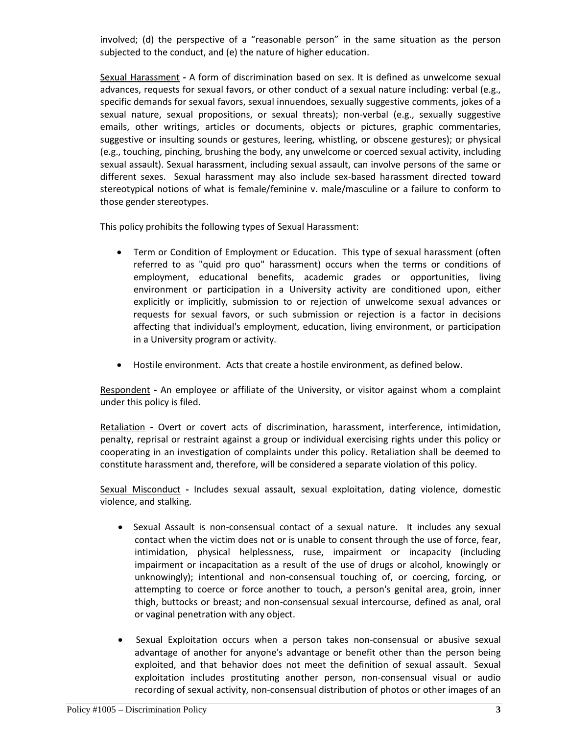involved; (d) the perspective of a "reasonable person" in the same situation as the person subjected to the conduct, and (e) the nature of higher education.

Sexual Harassment **-** A form of discrimination based on sex. It is defined as unwelcome sexual advances, requests for sexual favors, or other conduct of a sexual nature including: verbal (e.g., specific demands for sexual favors, sexual innuendoes, sexually suggestive comments, jokes of a sexual nature, sexual propositions, or sexual threats); non-verbal (e.g., sexually suggestive emails, other writings, articles or documents, objects or pictures, graphic commentaries, suggestive or insulting sounds or gestures, leering, whistling, or obscene gestures); or physical (e.g., touching, pinching, brushing the body, any unwelcome or coerced sexual activity, including sexual assault). Sexual harassment, including sexual assault, can involve persons of the same or different sexes. Sexual harassment may also include sex-based harassment directed toward stereotypical notions of what is female/feminine v. male/masculine or a failure to conform to those gender stereotypes.

This policy prohibits the following types of Sexual Harassment:

- Term or Condition of Employment or Education. This type of sexual harassment (often referred to as "quid pro quo" harassment) occurs when the terms or conditions of employment, educational benefits, academic grades or opportunities, living environment or participation in a University activity are conditioned upon, either explicitly or implicitly, submission to or rejection of unwelcome sexual advances or requests for sexual favors, or such submission or rejection is a factor in decisions affecting that individual's employment, education, living environment, or participation in a University program or activity.
- Hostile environment. Acts that create a hostile environment, as defined below.

Respondent **-** An employee or affiliate of the University, or visitor against whom a complaint under this policy is filed.

Retaliation **-** Overt or covert acts of discrimination, harassment, interference, intimidation, penalty, reprisal or restraint against a group or individual exercising rights under this policy or cooperating in an investigation of complaints under this policy. Retaliation shall be deemed to constitute harassment and, therefore, will be considered a separate violation of this policy.

Sexual Misconduct **-** Includes sexual assault, sexual exploitation, dating violence, domestic violence, and stalking.

- Sexual Assault is non-consensual contact of a sexual nature. It includes any sexual contact when the victim does not or is unable to consent through the use of force, fear, intimidation, physical helplessness, ruse, impairment or incapacity (including impairment or incapacitation as a result of the use of drugs or alcohol, knowingly or unknowingly); intentional and non-consensual touching of, or coercing, forcing, or attempting to coerce or force another to touch, a person's genital area, groin, inner thigh, buttocks or breast; and non-consensual sexual intercourse, defined as anal, oral or vaginal penetration with any object.
- Sexual Exploitation occurs when a person takes non-consensual or abusive sexual advantage of another for anyone's advantage or benefit other than the person being exploited, and that behavior does not meet the definition of sexual assault. Sexual exploitation includes prostituting another person, non-consensual visual or audio recording of sexual activity, non-consensual distribution of photos or other images of an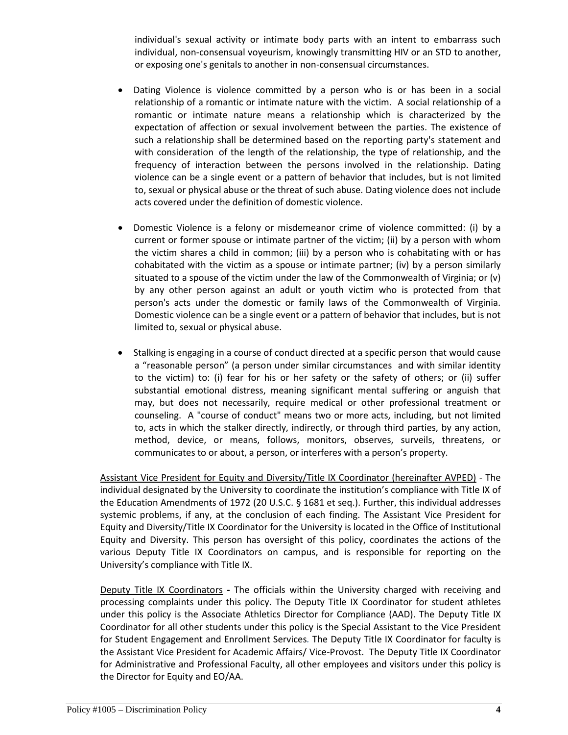individual's sexual activity or intimate body parts with an intent to embarrass such individual, non-consensual voyeurism, knowingly transmitting HIV or an STD to another, or exposing one's genitals to another in non-consensual circumstances.

- Dating Violence is violence committed by a person who is or has been in a social relationship of a romantic or intimate nature with the victim. A social relationship of a romantic or intimate nature means a relationship which is characterized by the expectation of affection or sexual involvement between the parties. The existence of such a relationship shall be determined based on the reporting party's statement and with consideration of the length of the relationship, the type of relationship, and the frequency of interaction between the persons involved in the relationship. Dating violence can be a single event or a pattern of behavior that includes, but is not limited to, sexual or physical abuse or the threat of such abuse. Dating violence does not include acts covered under the definition of domestic violence.
- Domestic Violence is a felony or misdemeanor crime of violence committed: (i) by a current or former spouse or intimate partner of the victim; (ii) by a person with whom the victim shares a child in common; (iii) by a person who is cohabitating with or has cohabitated with the victim as a spouse or intimate partner; (iv) by a person similarly situated to a spouse of the victim under the law of the Commonwealth of Virginia; or  $(v)$ by any other person against an adult or youth victim who is protected from that person's acts under the domestic or family laws of the Commonwealth of Virginia. Domestic violence can be a single event or a pattern of behavior that includes, but is not limited to, sexual or physical abuse.
- Stalking is engaging in a course of conduct directed at a specific person that would cause a "reasonable person" (a person under similar circumstances and with similar identity to the victim) to: (i) fear for his or her safety or the safety of others; or (ii) suffer substantial emotional distress, meaning significant mental suffering or anguish that may, but does not necessarily, require medical or other professional treatment or counseling. A "course of conduct" means two or more acts, including, but not limited to, acts in which the stalker directly, indirectly, or through third parties, by any action, method, device, or means, follows, monitors, observes, surveils, threatens, or communicates to or about, a person, or interferes with a person's property.

Assistant Vice President for Equity and Diversity/Title IX Coordinator (hereinafter AVPED) - The individual designated by the University to coordinate the institution's compliance with Title IX of the Education Amendments of 1972 (20 U.S.C. § 1681 et seq.). Further, this individual addresses systemic problems, if any, at the conclusion of each finding. The Assistant Vice President for Equity and Diversity/Title IX Coordinator for the University is located in the Office of Institutional Equity and Diversity. This person has oversight of this policy, coordinates the actions of the various Deputy Title IX Coordinators on campus, and is responsible for reporting on the University's compliance with Title IX.

Deputy Title IX Coordinators **-** The officials within the University charged with receiving and processing complaints under this policy. The Deputy Title IX Coordinator for student athletes under this policy is the Associate Athletics Director for Compliance (AAD). The Deputy Title IX Coordinator for all other students under this policy is the Special Assistant to the Vice President for Student Engagement and Enrollment Services*.* The Deputy Title IX Coordinator for faculty is the Assistant Vice President for Academic Affairs/ Vice-Provost. The Deputy Title IX Coordinator for Administrative and Professional Faculty, all other employees and visitors under this policy is the Director for Equity and EO/AA.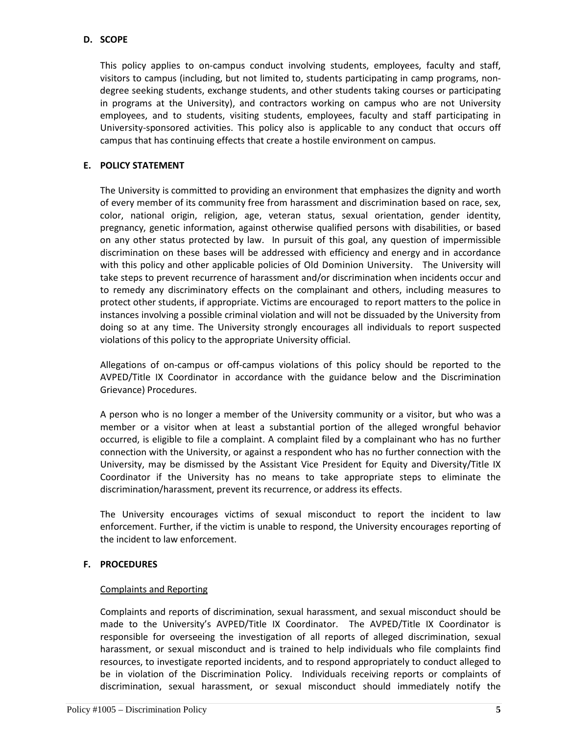## **D. SCOPE**

This policy applies to on-campus conduct involving students, employees, faculty and staff, visitors to campus (including, but not limited to, students participating in camp programs, nondegree seeking students, exchange students, and other students taking courses or participating in programs at the University), and contractors working on campus who are not University employees, and to students, visiting students, employees, faculty and staff participating in University-sponsored activities. This policy also is applicable to any conduct that occurs off campus that has continuing effects that create a hostile environment on campus.

# **E. POLICY STATEMENT**

The University is committed to providing an environment that emphasizes the dignity and worth of every member of its community free from harassment and discrimination based on race, sex, color, national origin, religion, age, veteran status, sexual orientation, gender identity, pregnancy, genetic information, against otherwise qualified persons with disabilities, or based on any other status protected by law. In pursuit of this goal, any question of impermissible discrimination on these bases will be addressed with efficiency and energy and in accordance with this policy and other applicable policies of Old Dominion University. The University will take steps to prevent recurrence of harassment and/or discrimination when incidents occur and to remedy any discriminatory effects on the complainant and others, including measures to protect other students, if appropriate. Victims are encouraged to report matters to the police in instances involving a possible criminal violation and will not be dissuaded by the University from doing so at any time. The University strongly encourages all individuals to report suspected violations of this policy to the appropriate University official.

Allegations of on-campus or off-campus violations of this policy should be reported to the AVPED/Title IX Coordinator in accordance with the guidance below and the Discrimination Grievance) Procedures.

A person who is no longer a member of the University community or a visitor, but who was a member or a visitor when at least a substantial portion of the alleged wrongful behavior occurred, is eligible to file a complaint. A complaint filed by a complainant who has no further connection with the University, or against a respondent who has no further connection with the University, may be dismissed by the Assistant Vice President for Equity and Diversity/Title IX Coordinator if the University has no means to take appropriate steps to eliminate the discrimination/harassment, prevent its recurrence, or address its effects.

The University encourages victims of sexual misconduct to report the incident to law enforcement. Further, if the victim is unable to respond, the University encourages reporting of the incident to law enforcement.

# **F. PROCEDURES**

#### Complaints and Reporting

Complaints and reports of discrimination, sexual harassment, and sexual misconduct should be made to the University's AVPED/Title IX Coordinator. The AVPED/Title IX Coordinator is responsible for overseeing the investigation of all reports of alleged discrimination, sexual harassment, or sexual misconduct and is trained to help individuals who file complaints find resources, to investigate reported incidents, and to respond appropriately to conduct alleged to be in violation of the Discrimination Policy. Individuals receiving reports or complaints of discrimination, sexual harassment, or sexual misconduct should immediately notify the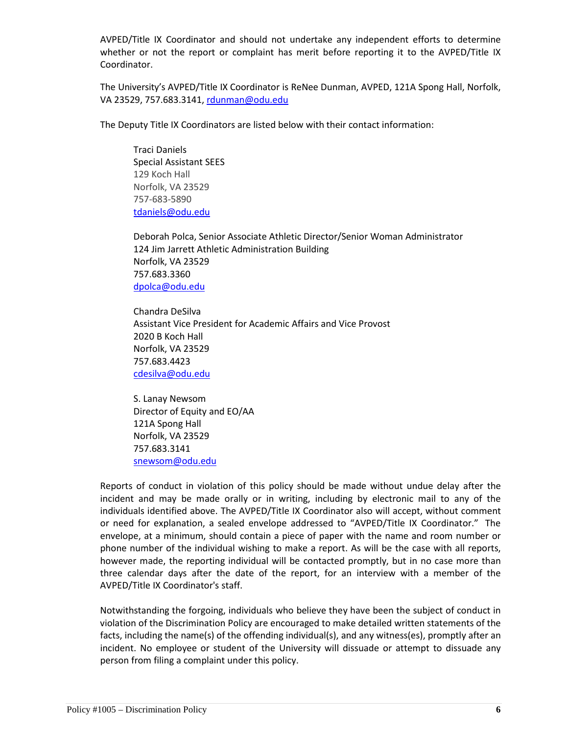AVPED/Title IX Coordinator and should not undertake any independent efforts to determine whether or not the report or complaint has merit before reporting it to the AVPED/Title IX Coordinator.

The University's AVPED/Title IX Coordinator is ReNee Dunman, AVPED, 121A Spong Hall, Norfolk, VA 23529, 757.683.3141[, rdunman@odu.edu](mailto:rdunman@odu.edu)

The Deputy Title IX Coordinators are listed below with their contact information:

Traci Daniels Special Assistant SEES 129 Koch Hall Norfolk, VA 23529 757-683-5890 [tdaniels@odu.edu](mailto:tdaniels@odu.edu)

Deborah Polca, Senior Associate Athletic Director/Senior Woman Administrator 124 Jim Jarrett Athletic Administration Building Norfolk, VA 23529 757.683.3360 [dpolca@odu.edu](mailto:dpolca@odu.edu)

Chandra DeSilva Assistant Vice President for Academic Affairs and Vice Provost 2020 B Koch Hall Norfolk, VA 23529 757.683.4423 [cdesilva@odu.edu](mailto:cdesilva@odu.edu)

S. Lanay Newsom Director of Equity and EO/AA 121A Spong Hall Norfolk, VA 23529 757.683.3141 [snewsom@odu.edu](mailto:snewsom@odu.edu)

Reports of conduct in violation of this policy should be made without undue delay after the incident and may be made orally or in writing, including by electronic mail to any of the individuals identified above. The AVPED/Title IX Coordinator also will accept, without comment or need for explanation, a sealed envelope addressed to "AVPED/Title IX Coordinator." The envelope, at a minimum, should contain a piece of paper with the name and room number or phone number of the individual wishing to make a report. As will be the case with all reports, however made, the reporting individual will be contacted promptly, but in no case more than three calendar days after the date of the report, for an interview with a member of the AVPED/Title IX Coordinator's staff.

Notwithstanding the forgoing, individuals who believe they have been the subject of conduct in violation of the Discrimination Policy are encouraged to make detailed written statements of the facts, including the name(s) of the offending individual(s), and any witness(es), promptly after an incident. No employee or student of the University will dissuade or attempt to dissuade any person from filing a complaint under this policy.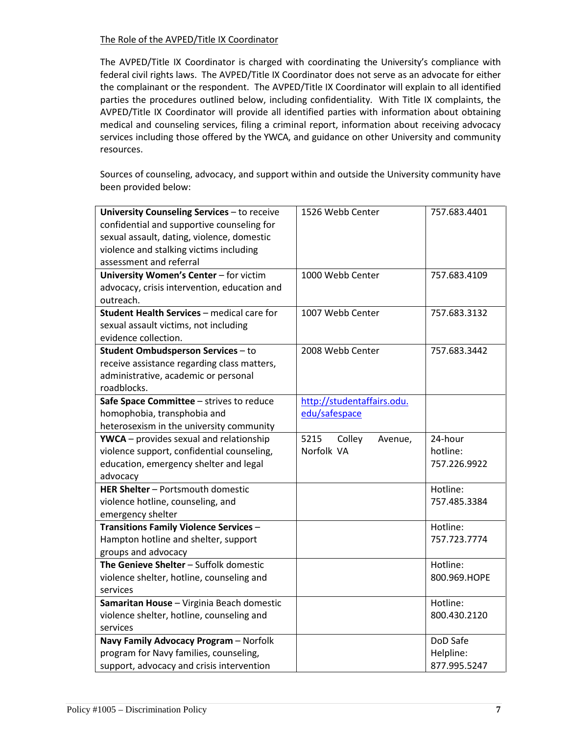## The Role of the AVPED/Title IX Coordinator

The AVPED/Title IX Coordinator is charged with coordinating the University's compliance with federal civil rights laws. The AVPED/Title IX Coordinator does not serve as an advocate for either the complainant or the respondent. The AVPED/Title IX Coordinator will explain to all identified parties the procedures outlined below, including confidentiality. With Title IX complaints, the AVPED/Title IX Coordinator will provide all identified parties with information about obtaining medical and counseling services, filing a criminal report, information about receiving advocacy services including those offered by the YWCA, and guidance on other University and community resources.

Sources of counseling, advocacy, and support within and outside the University community have been provided below:

| University Counseling Services - to receive<br>confidential and supportive counseling for<br>sexual assault, dating, violence, domestic<br>violence and stalking victims including<br>assessment and referral | 1526 Webb Center           | 757.683.4401 |
|---------------------------------------------------------------------------------------------------------------------------------------------------------------------------------------------------------------|----------------------------|--------------|
| University Women's Center - for victim                                                                                                                                                                        | 1000 Webb Center           | 757.683.4109 |
| advocacy, crisis intervention, education and                                                                                                                                                                  |                            |              |
| outreach.                                                                                                                                                                                                     |                            |              |
| Student Health Services - medical care for                                                                                                                                                                    | 1007 Webb Center           | 757.683.3132 |
| sexual assault victims, not including                                                                                                                                                                         |                            |              |
| evidence collection.                                                                                                                                                                                          |                            |              |
| Student Ombudsperson Services - to                                                                                                                                                                            | 2008 Webb Center           | 757.683.3442 |
| receive assistance regarding class matters,                                                                                                                                                                   |                            |              |
| administrative, academic or personal                                                                                                                                                                          |                            |              |
| roadblocks.                                                                                                                                                                                                   |                            |              |
| Safe Space Committee - strives to reduce                                                                                                                                                                      | http://studentaffairs.odu. |              |
| homophobia, transphobia and                                                                                                                                                                                   | edu/safespace              |              |
| heterosexism in the university community                                                                                                                                                                      |                            |              |
| YWCA - provides sexual and relationship                                                                                                                                                                       | 5215<br>Colley<br>Avenue,  | 24-hour      |
| violence support, confidential counseling,                                                                                                                                                                    | Norfolk VA                 | hotline:     |
| education, emergency shelter and legal                                                                                                                                                                        |                            | 757.226.9922 |
| advocacy                                                                                                                                                                                                      |                            |              |
| HER Shelter - Portsmouth domestic                                                                                                                                                                             |                            | Hotline:     |
| violence hotline, counseling, and                                                                                                                                                                             |                            | 757.485.3384 |
| emergency shelter                                                                                                                                                                                             |                            |              |
| <b>Transitions Family Violence Services -</b>                                                                                                                                                                 |                            | Hotline:     |
| Hampton hotline and shelter, support                                                                                                                                                                          |                            | 757.723.7774 |
| groups and advocacy                                                                                                                                                                                           |                            |              |
| The Genieve Shelter - Suffolk domestic                                                                                                                                                                        |                            | Hotline:     |
| violence shelter, hotline, counseling and                                                                                                                                                                     |                            | 800.969.HOPE |
| services                                                                                                                                                                                                      |                            |              |
| Samaritan House - Virginia Beach domestic                                                                                                                                                                     |                            | Hotline:     |
| violence shelter, hotline, counseling and                                                                                                                                                                     |                            | 800.430.2120 |
| services                                                                                                                                                                                                      |                            |              |
| Navy Family Advocacy Program - Norfolk                                                                                                                                                                        |                            | DoD Safe     |
| program for Navy families, counseling,                                                                                                                                                                        |                            | Helpline:    |
| support, advocacy and crisis intervention                                                                                                                                                                     |                            | 877.995.5247 |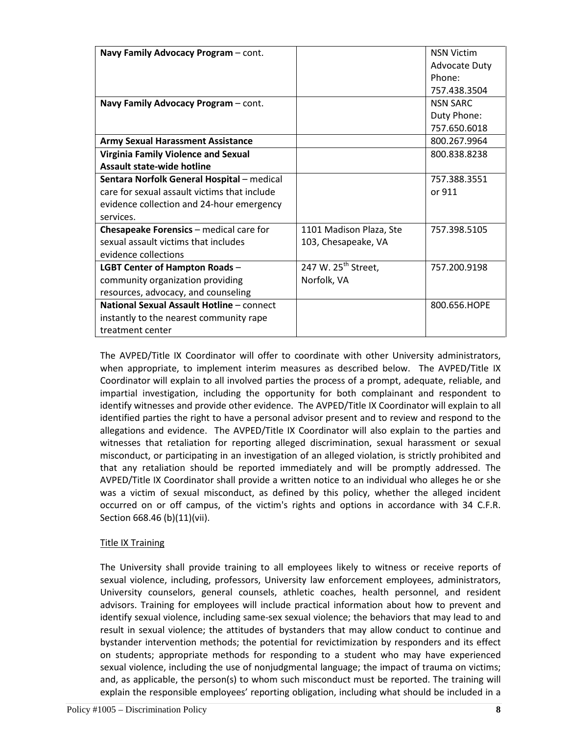| Navy Family Advocacy Program - cont.         |                                 | <b>NSN Victim</b>    |
|----------------------------------------------|---------------------------------|----------------------|
|                                              |                                 | <b>Advocate Duty</b> |
|                                              |                                 | Phone:               |
|                                              |                                 | 757.438.3504         |
| Navy Family Advocacy Program - cont.         |                                 | <b>NSN SARC</b>      |
|                                              |                                 | Duty Phone:          |
|                                              |                                 | 757.650.6018         |
| <b>Army Sexual Harassment Assistance</b>     |                                 | 800.267.9964         |
| <b>Virginia Family Violence and Sexual</b>   |                                 | 800.838.8238         |
| <b>Assault state-wide hotline</b>            |                                 |                      |
| Sentara Norfolk General Hospital - medical   |                                 | 757.388.3551         |
| care for sexual assault victims that include |                                 | or 911               |
| evidence collection and 24-hour emergency    |                                 |                      |
| services.                                    |                                 |                      |
| Chesapeake Forensics - medical care for      | 1101 Madison Plaza, Ste         | 757.398.5105         |
| sexual assault victims that includes         | 103, Chesapeake, VA             |                      |
| evidence collections                         |                                 |                      |
| <b>LGBT Center of Hampton Roads -</b>        | 247 W. 25 <sup>th</sup> Street, | 757.200.9198         |
| community organization providing             | Norfolk, VA                     |                      |
| resources, advocacy, and counseling          |                                 |                      |
| National Sexual Assault Hotline - connect    |                                 | 800.656.HOPE         |
| instantly to the nearest community rape      |                                 |                      |
| treatment center                             |                                 |                      |

The AVPED/Title IX Coordinator will offer to coordinate with other University administrators, when appropriate, to implement interim measures as described below. The AVPED/Title IX Coordinator will explain to all involved parties the process of a prompt, adequate, reliable, and impartial investigation, including the opportunity for both complainant and respondent to identify witnesses and provide other evidence. The AVPED/Title IX Coordinator will explain to all identified parties the right to have a personal advisor present and to review and respond to the allegations and evidence. The AVPED/Title IX Coordinator will also explain to the parties and witnesses that retaliation for reporting alleged discrimination, sexual harassment or sexual misconduct, or participating in an investigation of an alleged violation, is strictly prohibited and that any retaliation should be reported immediately and will be promptly addressed. The AVPED/Title IX Coordinator shall provide a written notice to an individual who alleges he or she was a victim of sexual misconduct, as defined by this policy, whether the alleged incident occurred on or off campus, of the victim's rights and options in accordance with 34 C.F.R. Section 668.46 (b)(11)(vii).

# Title IX Training

The University shall provide training to all employees likely to witness or receive reports of sexual violence, including, professors, University law enforcement employees, administrators, University counselors, general counsels, athletic coaches, health personnel, and resident advisors. Training for employees will include practical information about how to prevent and identify sexual violence, including same-sex sexual violence; the behaviors that may lead to and result in sexual violence; the attitudes of bystanders that may allow conduct to continue and bystander intervention methods; the potential for revictimization by responders and its effect on students; appropriate methods for responding to a student who may have experienced sexual violence, including the use of nonjudgmental language; the impact of trauma on victims; and, as applicable, the person(s) to whom such misconduct must be reported. The training will explain the responsible employees' reporting obligation, including what should be included in a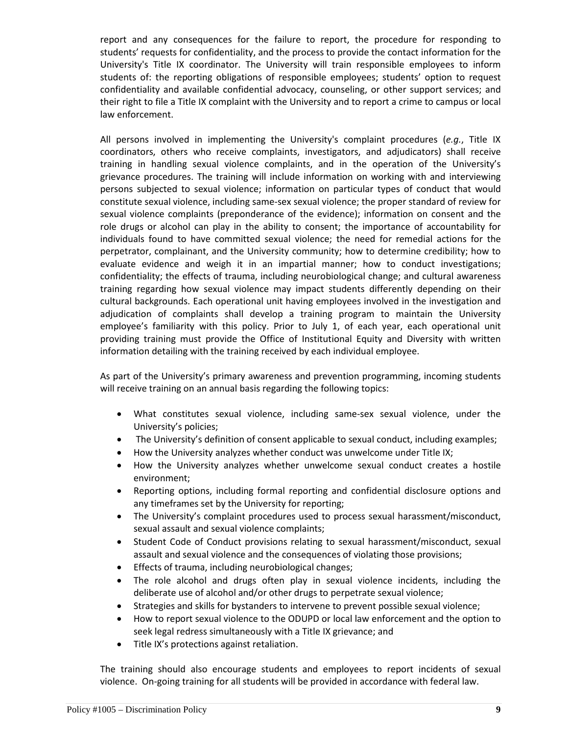report and any consequences for the failure to report, the procedure for responding to students' requests for confidentiality, and the process to provide the contact information for the University's Title IX coordinator. The University will train responsible employees to inform students of: the reporting obligations of responsible employees; students' option to request confidentiality and available confidential advocacy, counseling, or other support services; and their right to file a Title IX complaint with the University and to report a crime to campus or local law enforcement.

All persons involved in implementing the University's complaint procedures (*e.g.*, Title IX coordinators, others who receive complaints, investigators, and adjudicators) shall receive training in handling sexual violence complaints, and in the operation of the University's grievance procedures. The training will include information on working with and interviewing persons subjected to sexual violence; information on particular types of conduct that would constitute sexual violence, including same-sex sexual violence; the proper standard of review for sexual violence complaints (preponderance of the evidence); information on consent and the role drugs or alcohol can play in the ability to consent; the importance of accountability for individuals found to have committed sexual violence; the need for remedial actions for the perpetrator, complainant, and the University community; how to determine credibility; how to evaluate evidence and weigh it in an impartial manner; how to conduct investigations; confidentiality; the effects of trauma, including neurobiological change; and cultural awareness training regarding how sexual violence may impact students differently depending on their cultural backgrounds. Each operational unit having employees involved in the investigation and adjudication of complaints shall develop a training program to maintain the University employee's familiarity with this policy. Prior to July 1, of each year, each operational unit providing training must provide the Office of Institutional Equity and Diversity with written information detailing with the training received by each individual employee.

As part of the University's primary awareness and prevention programming, incoming students will receive training on an annual basis regarding the following topics:

- What constitutes sexual violence, including same-sex sexual violence, under the University's policies;
- The University's definition of consent applicable to sexual conduct, including examples;
- How the University analyzes whether conduct was unwelcome under Title IX;
- How the University analyzes whether unwelcome sexual conduct creates a hostile environment;
- Reporting options, including formal reporting and confidential disclosure options and any timeframes set by the University for reporting;
- The University's complaint procedures used to process sexual harassment/misconduct, sexual assault and sexual violence complaints;
- Student Code of Conduct provisions relating to sexual harassment/misconduct, sexual assault and sexual violence and the consequences of violating those provisions;
- Effects of trauma, including neurobiological changes;
- The role alcohol and drugs often play in sexual violence incidents, including the deliberate use of alcohol and/or other drugs to perpetrate sexual violence;
- Strategies and skills for bystanders to intervene to prevent possible sexual violence;
- How to report sexual violence to the ODUPD or local law enforcement and the option to seek legal redress simultaneously with a Title IX grievance; and
- Title IX's protections against retaliation.

The training should also encourage students and employees to report incidents of sexual violence. On-going training for all students will be provided in accordance with federal law.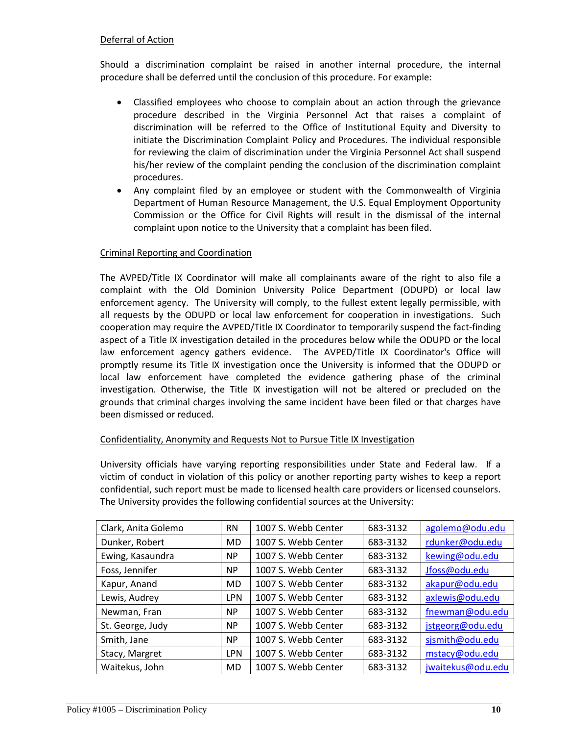## Deferral of Action

Should a discrimination complaint be raised in another internal procedure, the internal procedure shall be deferred until the conclusion of this procedure. For example:

- Classified employees who choose to complain about an action through the grievance procedure described in the Virginia Personnel Act that raises a complaint of discrimination will be referred to the Office of Institutional Equity and Diversity to initiate the Discrimination Complaint Policy and Procedures. The individual responsible for reviewing the claim of discrimination under the Virginia Personnel Act shall suspend his/her review of the complaint pending the conclusion of the discrimination complaint procedures.
- Any complaint filed by an employee or student with the Commonwealth of Virginia Department of Human Resource Management, the U.S. Equal Employment Opportunity Commission or the Office for Civil Rights will result in the dismissal of the internal complaint upon notice to the University that a complaint has been filed.

## Criminal Reporting and Coordination

The AVPED/Title IX Coordinator will make all complainants aware of the right to also file a complaint with the Old Dominion University Police Department (ODUPD) or local law enforcement agency. The University will comply, to the fullest extent legally permissible, with all requests by the ODUPD or local law enforcement for cooperation in investigations. Such cooperation may require the AVPED/Title IX Coordinator to temporarily suspend the fact-finding aspect of a Title IX investigation detailed in the procedures below while the ODUPD or the local law enforcement agency gathers evidence. The AVPED/Title IX Coordinator's Office will promptly resume its Title IX investigation once the University is informed that the ODUPD or local law enforcement have completed the evidence gathering phase of the criminal investigation. Otherwise, the Title IX investigation will not be altered or precluded on the grounds that criminal charges involving the same incident have been filed or that charges have been dismissed or reduced.

#### Confidentiality, Anonymity and Requests Not to Pursue Title IX Investigation

University officials have varying reporting responsibilities under State and Federal law. If a victim of conduct in violation of this policy or another reporting party wishes to keep a report confidential, such report must be made to licensed health care providers or licensed counselors. The University provides the following confidential sources at the University:

| Clark, Anita Golemo | <b>RN</b>  | 1007 S. Webb Center | 683-3132 | agolemo@odu.edu   |
|---------------------|------------|---------------------|----------|-------------------|
| Dunker, Robert      | MD         | 1007 S. Webb Center | 683-3132 | rdunker@odu.edu   |
| Ewing, Kasaundra    | <b>NP</b>  | 1007 S. Webb Center | 683-3132 | kewing@odu.edu    |
| Foss, Jennifer      | <b>NP</b>  | 1007 S. Webb Center | 683-3132 | Jfoss@odu.edu     |
| Kapur, Anand        | MD         | 1007 S. Webb Center | 683-3132 | akapur@odu.edu    |
| Lewis, Audrey       | <b>LPN</b> | 1007 S. Webb Center | 683-3132 | axlewis@odu.edu   |
| Newman, Fran        | <b>NP</b>  | 1007 S. Webb Center | 683-3132 | fnewman@odu.edu   |
| St. George, Judy    | NP.        | 1007 S. Webb Center | 683-3132 | jstgeorg@odu.edu  |
| Smith, Jane         | <b>NP</b>  | 1007 S. Webb Center | 683-3132 | sjsmith@odu.edu   |
| Stacy, Margret      | <b>LPN</b> | 1007 S. Webb Center | 683-3132 | mstacy@odu.edu    |
| Waitekus, John      | MD         | 1007 S. Webb Center | 683-3132 | jwaitekus@odu.edu |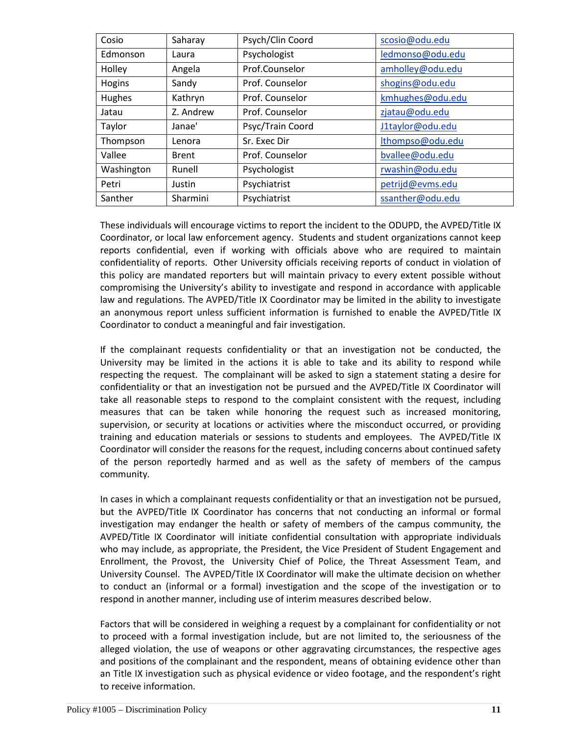| Cosio      | Saharay      | Psych/Clin Coord | scosio@odu.edu   |
|------------|--------------|------------------|------------------|
| Edmonson   | Laura        | Psychologist     | ledmonso@odu.edu |
| Holley     | Angela       | Prof.Counselor   | amholley@odu.edu |
| Hogins     | Sandy        | Prof. Counselor  | shogins@odu.edu  |
| Hughes     | Kathryn      | Prof. Counselor  | kmhughes@odu.edu |
| Jatau      | Z. Andrew    | Prof. Counselor  | zjatau@odu.edu   |
| Taylor     | Janae'       | Psyc/Train Coord | J1taylor@odu.edu |
| Thompson   | Lenora       | Sr. Exec Dir     | lthompso@odu.edu |
| Vallee     | <b>Brent</b> | Prof. Counselor  | bvallee@odu.edu  |
| Washington | Runell       | Psychologist     | rwashin@odu.edu  |
| Petri      | Justin       | Psychiatrist     | petrijd@evms.edu |
| Santher    | Sharmini     | Psychiatrist     | ssanther@odu.edu |

These individuals will encourage victims to report the incident to the ODUPD, the AVPED/Title IX Coordinator, or local law enforcement agency. Students and student organizations cannot keep reports confidential, even if working with officials above who are required to maintain confidentiality of reports. Other University officials receiving reports of conduct in violation of this policy are mandated reporters but will maintain privacy to every extent possible without compromising the University's ability to investigate and respond in accordance with applicable law and regulations. The AVPED/Title IX Coordinator may be limited in the ability to investigate an anonymous report unless sufficient information is furnished to enable the AVPED/Title IX Coordinator to conduct a meaningful and fair investigation.

If the complainant requests confidentiality or that an investigation not be conducted, the University may be limited in the actions it is able to take and its ability to respond while respecting the request. The complainant will be asked to sign a statement stating a desire for confidentiality or that an investigation not be pursued and the AVPED/Title IX Coordinator will take all reasonable steps to respond to the complaint consistent with the request, including measures that can be taken while honoring the request such as increased monitoring, supervision, or security at locations or activities where the misconduct occurred, or providing training and education materials or sessions to students and employees. The AVPED/Title IX Coordinator will consider the reasons for the request, including concerns about continued safety of the person reportedly harmed and as well as the safety of members of the campus community.

In cases in which a complainant requests confidentiality or that an investigation not be pursued, but the AVPED/Title IX Coordinator has concerns that not conducting an informal or formal investigation may endanger the health or safety of members of the campus community, the AVPED/Title IX Coordinator will initiate confidential consultation with appropriate individuals who may include, as appropriate, the President, the Vice President of Student Engagement and Enrollment, the Provost, the University Chief of Police, the Threat Assessment Team, and University Counsel. The AVPED/Title IX Coordinator will make the ultimate decision on whether to conduct an (informal or a formal) investigation and the scope of the investigation or to respond in another manner, including use of interim measures described below.

Factors that will be considered in weighing a request by a complainant for confidentiality or not to proceed with a formal investigation include, but are not limited to, the seriousness of the alleged violation, the use of weapons or other aggravating circumstances, the respective ages and positions of the complainant and the respondent, means of obtaining evidence other than an Title IX investigation such as physical evidence or video footage, and the respondent's right to receive information.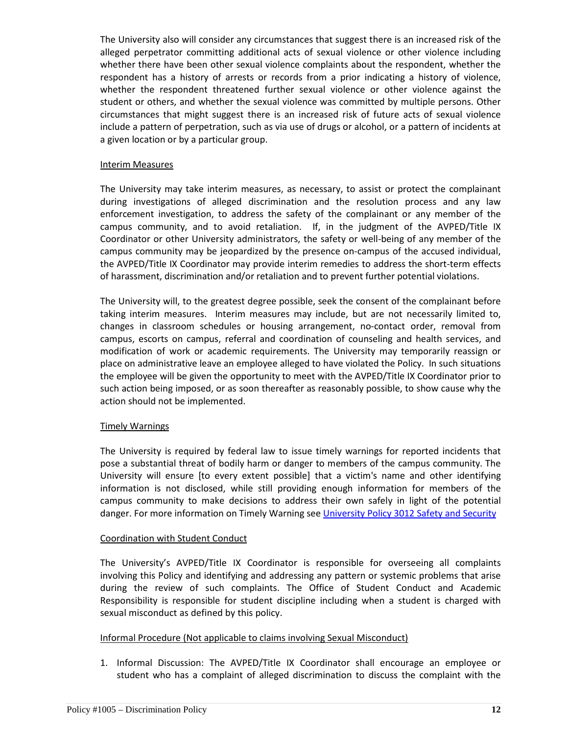The University also will consider any circumstances that suggest there is an increased risk of the alleged perpetrator committing additional acts of sexual violence or other violence including whether there have been other sexual violence complaints about the respondent, whether the respondent has a history of arrests or records from a prior indicating a history of violence, whether the respondent threatened further sexual violence or other violence against the student or others, and whether the sexual violence was committed by multiple persons. Other circumstances that might suggest there is an increased risk of future acts of sexual violence include a pattern of perpetration, such as via use of drugs or alcohol, or a pattern of incidents at a given location or by a particular group.

#### Interim Measures

The University may take interim measures, as necessary, to assist or protect the complainant during investigations of alleged discrimination and the resolution process and any law enforcement investigation, to address the safety of the complainant or any member of the campus community, and to avoid retaliation. If, in the judgment of the AVPED/Title IX Coordinator or other University administrators, the safety or well-being of any member of the campus community may be jeopardized by the presence on-campus of the accused individual, the AVPED/Title IX Coordinator may provide interim remedies to address the short-term effects of harassment, discrimination and/or retaliation and to prevent further potential violations.

The University will, to the greatest degree possible, seek the consent of the complainant before taking interim measures. Interim measures may include, but are not necessarily limited to, changes in classroom schedules or housing arrangement, no-contact order, removal from campus, escorts on campus, referral and coordination of counseling and health services, and modification of work or academic requirements. The University may temporarily reassign or place on administrative leave an employee alleged to have violated the Policy. In such situations the employee will be given the opportunity to meet with the AVPED/Title IX Coordinator prior to such action being imposed, or as soon thereafter as reasonably possible, to show cause why the action should not be implemented.

#### Timely Warnings

The University is required by federal law to issue timely warnings for reported incidents that pose a substantial threat of bodily harm or danger to members of the campus community. The University will ensure [to every extent possible] that a victim's name and other identifying information is not disclosed, while still providing enough information for members of the campus community to make decisions to address their own safely in light of the potential danger. For more information on Timely Warning see [University Policy 3012 Safety and Security](http://www.odu.edu/content/dam/odu/policies/university/3000/univ-3012.pdf)

#### Coordination with Student Conduct

The University's AVPED/Title IX Coordinator is responsible for overseeing all complaints involving this Policy and identifying and addressing any pattern or systemic problems that arise during the review of such complaints. The Office of Student Conduct and Academic Responsibility is responsible for student discipline including when a student is charged with sexual misconduct as defined by this policy.

#### Informal Procedure (Not applicable to claims involving Sexual Misconduct)

1. Informal Discussion: The AVPED/Title IX Coordinator shall encourage an employee or student who has a complaint of alleged discrimination to discuss the complaint with the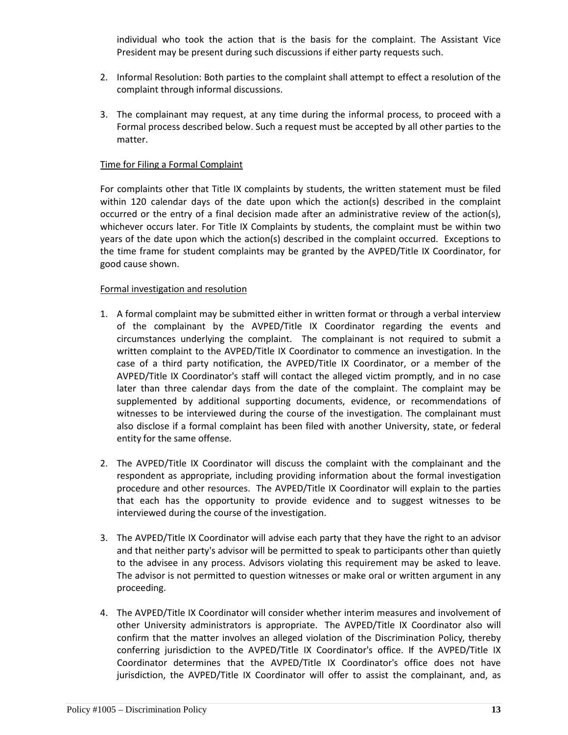individual who took the action that is the basis for the complaint. The Assistant Vice President may be present during such discussions if either party requests such.

- 2. Informal Resolution: Both parties to the complaint shall attempt to effect a resolution of the complaint through informal discussions.
- 3. The complainant may request, at any time during the informal process, to proceed with a Formal process described below. Such a request must be accepted by all other parties to the matter.

#### Time for Filing a Formal Complaint

For complaints other that Title IX complaints by students, the written statement must be filed within 120 calendar days of the date upon which the action(s) described in the complaint occurred or the entry of a final decision made after an administrative review of the action(s), whichever occurs later. For Title IX Complaints by students, the complaint must be within two years of the date upon which the action(s) described in the complaint occurred. Exceptions to the time frame for student complaints may be granted by the AVPED/Title IX Coordinator, for good cause shown.

#### Formal investigation and resolution

- 1. A formal complaint may be submitted either in written format or through a verbal interview of the complainant by the AVPED/Title IX Coordinator regarding the events and circumstances underlying the complaint. The complainant is not required to submit a written complaint to the AVPED/Title IX Coordinator to commence an investigation. In the case of a third party notification, the AVPED/Title IX Coordinator, or a member of the AVPED/Title IX Coordinator's staff will contact the alleged victim promptly, and in no case later than three calendar days from the date of the complaint. The complaint may be supplemented by additional supporting documents, evidence, or recommendations of witnesses to be interviewed during the course of the investigation. The complainant must also disclose if a formal complaint has been filed with another University, state, or federal entity for the same offense.
- 2. The AVPED/Title IX Coordinator will discuss the complaint with the complainant and the respondent as appropriate, including providing information about the formal investigation procedure and other resources. The AVPED/Title IX Coordinator will explain to the parties that each has the opportunity to provide evidence and to suggest witnesses to be interviewed during the course of the investigation.
- 3. The AVPED/Title IX Coordinator will advise each party that they have the right to an advisor and that neither party's advisor will be permitted to speak to participants other than quietly to the advisee in any process. Advisors violating this requirement may be asked to leave. The advisor is not permitted to question witnesses or make oral or written argument in any proceeding.
- 4. The AVPED/Title IX Coordinator will consider whether interim measures and involvement of other University administrators is appropriate. The AVPED/Title IX Coordinator also will confirm that the matter involves an alleged violation of the Discrimination Policy, thereby conferring jurisdiction to the AVPED/Title IX Coordinator's office. If the AVPED/Title IX Coordinator determines that the AVPED/Title IX Coordinator's office does not have jurisdiction, the AVPED/Title IX Coordinator will offer to assist the complainant, and, as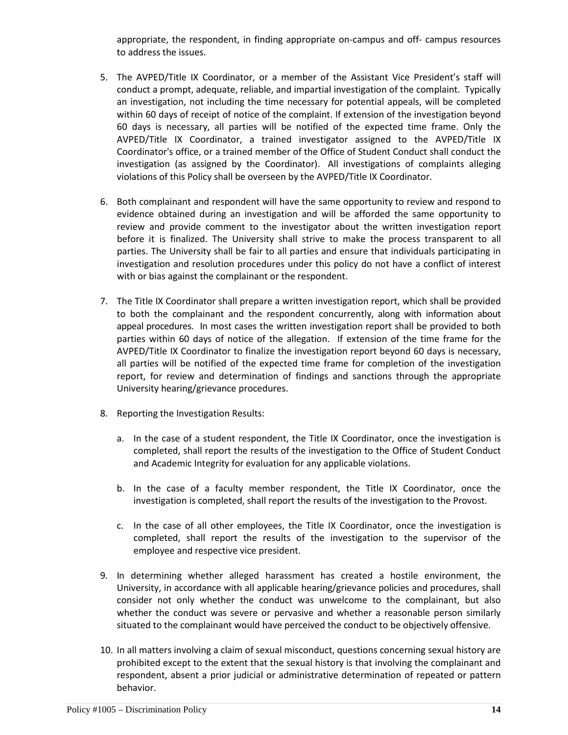appropriate, the respondent, in finding appropriate on-campus and off- campus resources to address the issues.

- 5. The AVPED/Title IX Coordinator, or a member of the Assistant Vice President's staff will conduct a prompt, adequate, reliable, and impartial investigation of the complaint. Typically an investigation, not including the time necessary for potential appeals, will be completed within 60 days of receipt of notice of the complaint. If extension of the investigation beyond 60 days is necessary, all parties will be notified of the expected time frame. Only the AVPED/Title IX Coordinator, a trained investigator assigned to the AVPED/Title IX Coordinator's office, or a trained member of the Office of Student Conduct shall conduct the investigation (as assigned by the Coordinator). All investigations of complaints alleging violations of this Policy shall be overseen by the AVPED/Title IX Coordinator.
- 6. Both complainant and respondent will have the same opportunity to review and respond to evidence obtained during an investigation and will be afforded the same opportunity to review and provide comment to the investigator about the written investigation report before it is finalized. The University shall strive to make the process transparent to all parties. The University shall be fair to all parties and ensure that individuals participating in investigation and resolution procedures under this policy do not have a conflict of interest with or bias against the complainant or the respondent.
- 7. The Title IX Coordinator shall prepare a written investigation report, which shall be provided to both the complainant and the respondent concurrently, along with information about appeal procedures. In most cases the written investigation report shall be provided to both parties within 60 days of notice of the allegation. If extension of the time frame for the AVPED/Title IX Coordinator to finalize the investigation report beyond 60 days is necessary, all parties will be notified of the expected time frame for completion of the investigation report, for review and determination of findings and sanctions through the appropriate University hearing/grievance procedures.
- 8. Reporting the Investigation Results:
	- a. In the case of a student respondent, the Title IX Coordinator, once the investigation is completed, shall report the results of the investigation to the Office of Student Conduct and Academic Integrity for evaluation for any applicable violations.
	- b. In the case of a faculty member respondent, the Title IX Coordinator, once the investigation is completed, shall report the results of the investigation to the Provost.
	- c. In the case of all other employees, the Title IX Coordinator, once the investigation is completed, shall report the results of the investigation to the supervisor of the employee and respective vice president.
- 9. In determining whether alleged harassment has created a hostile environment, the University, in accordance with all applicable hearing/grievance policies and procedures, shall consider not only whether the conduct was unwelcome to the complainant, but also whether the conduct was severe or pervasive and whether a reasonable person similarly situated to the complainant would have perceived the conduct to be objectively offensive.
- 10. In all matters involving a claim of sexual misconduct, questions concerning sexual history are prohibited except to the extent that the sexual history is that involving the complainant and respondent, absent a prior judicial or administrative determination of repeated or pattern behavior.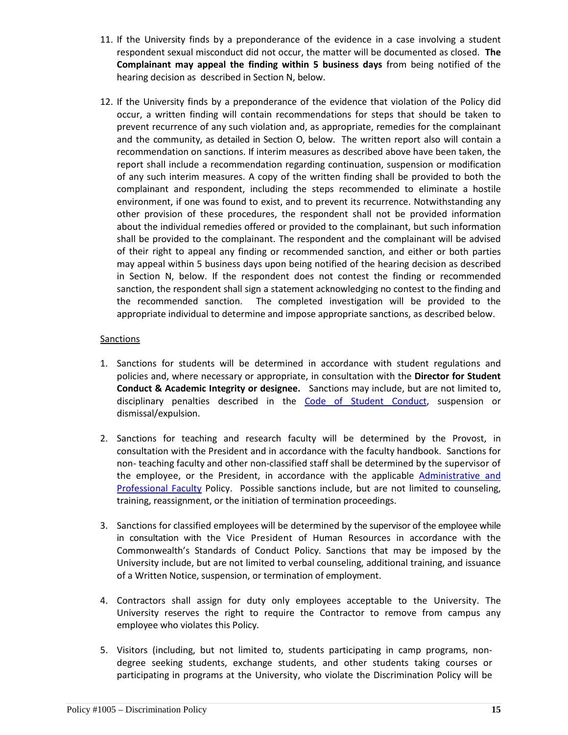- 11. If the University finds by a preponderance of the evidence in a case involving a student respondent sexual misconduct did not occur, the matter will be documented as closed. **The Complainant may appeal the finding within 5 business days** from being notified of the hearing decision as described in Section N, below.
- 12. If the University finds by a preponderance of the evidence that violation of the Policy did occur, a written finding will contain recommendations for steps that should be taken to prevent recurrence of any such violation and, as appropriate, remedies for the complainant and the community, as detailed in Section O, below. The written report also will contain a recommendation on sanctions. If interim measures as described above have been taken, the report shall include a recommendation regarding continuation, suspension or modification of any such interim measures. A copy of the written finding shall be provided to both the complainant and respondent, including the steps recommended to eliminate a hostile environment, if one was found to exist, and to prevent its recurrence. Notwithstanding any other provision of these procedures, the respondent shall not be provided information about the individual remedies offered or provided to the complainant, but such information shall be provided to the complainant. The respondent and the complainant will be advised of their right to appeal any finding or recommended sanction, and either or both parties may appeal within 5 business days upon being notified of the hearing decision as described in Section N, below. If the respondent does not contest the finding or recommended sanction, the respondent shall sign a statement acknowledging no contest to the finding and the recommended sanction. The completed investigation will be provided to the appropriate individual to determine and impose appropriate sanctions, as described below.

# **Sanctions**

- 1. Sanctions for students will be determined in accordance with student regulations and policies and, where necessary or appropriate, in consultation with the **Director for Student Conduct & Academic Integrity or designee.** Sanctions may include, but are not limited to, disciplinary penalties described in the [Code of Student Conduct,](http://www.odu.edu/about/policiesandprocedures/bov/bov1500/1530) suspension or dismissal/expulsion.
- 2. Sanctions for teaching and research faculty will be determined by the Provost, in consultation with the President and in accordance with the faculty handbook. Sanctions for non- teaching faculty and other non-classified staff shall be determined by the supervisor of the employee, or the President, in accordance with the applicable [Administrative and](http://www.odu.edu/content/dam/odu/offices/bov/policies/1400/BOV1490.pdf)  [Professional Faculty](http://www.odu.edu/content/dam/odu/offices/bov/policies/1400/BOV1490.pdf) Policy. Possible sanctions include, but are not limited to counseling, training, reassignment, or the initiation of termination proceedings.
- 3. Sanctions for classified employees will be determined by the supervisor of the employee while in consultation with the Vice President of Human Resources in accordance with the Commonwealth's Standards of Conduct Policy. Sanctions that may be imposed by the University include, but are not limited to verbal counseling, additional training, and issuance of a Written Notice, suspension, or termination of employment.
- 4. Contractors shall assign for duty only employees acceptable to the University. The University reserves the right to require the Contractor to remove from campus any employee who violates this Policy.
- 5. Visitors (including, but not limited to, students participating in camp programs, nondegree seeking students, exchange students, and other students taking courses or participating in programs at the University, who violate the Discrimination Policy will be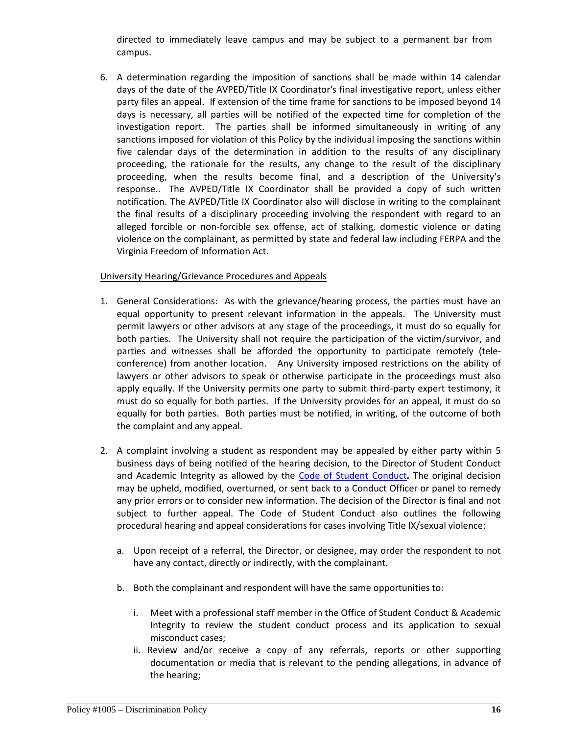directed to immediately leave campus and may be subject to a permanent bar from campus.

6. A determination regarding the imposition of sanctions shall be made within 14 calendar days of the date of the AVPED/Title IX Coordinator's final investigative report, unless either party files an appeal. If extension of the time frame for sanctions to be imposed beyond 14 days is necessary, all parties will be notified of the expected time for completion of the investigation report. The parties shall be informed simultaneously in writing of any sanctions imposed for violation of this Policy by the individual imposing the sanctions within five calendar days of the determination in addition to the results of any disciplinary proceeding, the rationale for the results, any change to the result of the disciplinary proceeding, when the results become final, and a description of the University's response.. The AVPED/Title IX Coordinator shall be provided a copy of such written notification. The AVPED/Title IX Coordinator also will disclose in writing to the complainant the final results of a disciplinary proceeding involving the respondent with regard to an alleged forcible or non-forcible sex offense, act of stalking, domestic violence or dating violence on the complainant, as permitted by state and federal law including FERPA and the Virginia Freedom of Information Act.

## University Hearing/Grievance Procedures and Appeals

- 1. General Considerations: As with the grievance/hearing process, the parties must have an equal opportunity to present relevant information in the appeals. The University must permit lawyers or other advisors at any stage of the proceedings, it must do so equally for both parties. The University shall not require the participation of the victim/survivor, and parties and witnesses shall be afforded the opportunity to participate remotely (teleconference) from another location. Any University imposed restrictions on the ability of lawyers or other advisors to speak or otherwise participate in the proceedings must also apply equally. If the University permits one party to submit third-party expert testimony, it must do so equally for both parties. If the University provides for an appeal, it must do so equally for both parties. Both parties must be notified, in writing, of the outcome of both the complaint and any appeal.
- 2. A complaint involving a student as respondent may be appealed by either party within 5 business days of being notified of the hearing decision, to the Director of Student Conduct and Academic Integrity as allowed by the [Code of Student Conduct](http://www.odu.edu/about/policiesandprocedures/bov/bov1500/1530)**.** The original decision may be upheld, modified, overturned, or sent back to a Conduct Officer or panel to remedy any prior errors or to consider new information. The decision of the Director is final and not subject to further appeal. The Code of Student Conduct also outlines the following procedural hearing and appeal considerations for cases involving Title IX/sexual violence:
	- a. Upon receipt of a referral, the Director, or designee, may order the respondent to not have any contact, directly or indirectly, with the complainant.
	- b. Both the complainant and respondent will have the same opportunities to:
		- i. Meet with a professional staff member in the Office of Student Conduct & Academic Integrity to review the student conduct process and its application to sexual misconduct cases;
		- ii. Review and/or receive a copy of any referrals, reports or other supporting documentation or media that is relevant to the pending allegations, in advance of the hearing;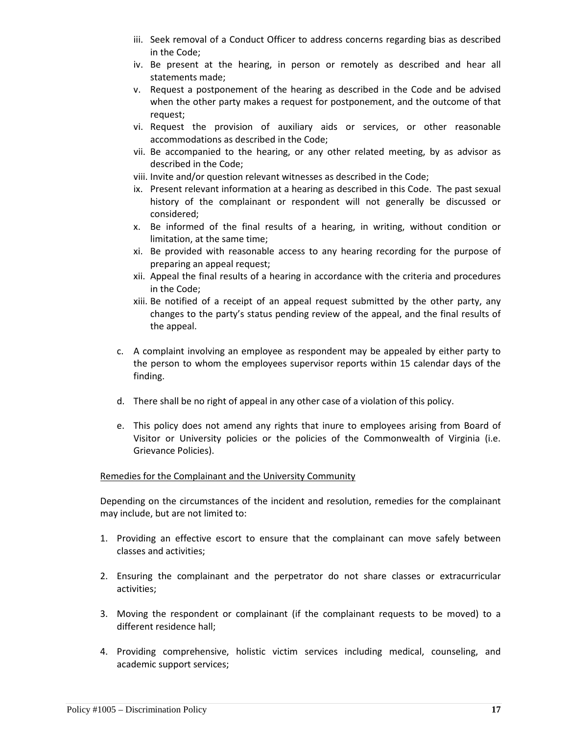- iii. Seek removal of a Conduct Officer to address concerns regarding bias as described in the Code;
- iv. Be present at the hearing, in person or remotely as described and hear all statements made;
- v. Request a postponement of the hearing as described in the Code and be advised when the other party makes a request for postponement, and the outcome of that request;
- vi. Request the provision of auxiliary aids or services, or other reasonable accommodations as described in the Code;
- vii. Be accompanied to the hearing, or any other related meeting, by as advisor as described in the Code;
- viii. Invite and/or question relevant witnesses as described in the Code;
- ix. Present relevant information at a hearing as described in this Code. The past sexual history of the complainant or respondent will not generally be discussed or considered;
- x. Be informed of the final results of a hearing, in writing, without condition or limitation, at the same time;
- xi. Be provided with reasonable access to any hearing recording for the purpose of preparing an appeal request;
- xii. Appeal the final results of a hearing in accordance with the criteria and procedures in the Code;
- xiii. Be notified of a receipt of an appeal request submitted by the other party, any changes to the party's status pending review of the appeal, and the final results of the appeal.
- c. A complaint involving an employee as respondent may be appealed by either party to the person to whom the employees supervisor reports within 15 calendar days of the finding.
- d. There shall be no right of appeal in any other case of a violation of this policy.
- e. This policy does not amend any rights that inure to employees arising from Board of Visitor or University policies or the policies of the Commonwealth of Virginia (i.e. Grievance Policies).

# Remedies for the Complainant and the University Community

Depending on the circumstances of the incident and resolution, remedies for the complainant may include, but are not limited to:

- 1. Providing an effective escort to ensure that the complainant can move safely between classes and activities;
- 2. Ensuring the complainant and the perpetrator do not share classes or extracurricular activities;
- 3. Moving the respondent or complainant (if the complainant requests to be moved) to a different residence hall;
- 4. Providing comprehensive, holistic victim services including medical, counseling, and academic support services;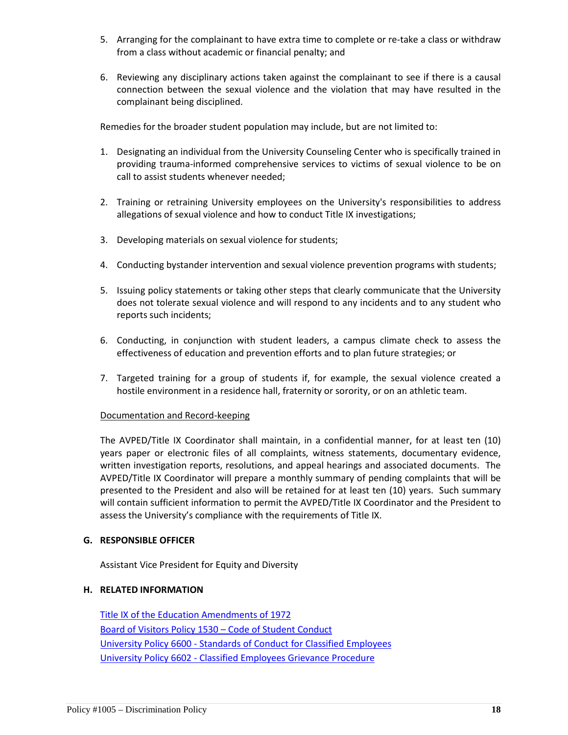- 5. Arranging for the complainant to have extra time to complete or re-take a class or withdraw from a class without academic or financial penalty; and
- 6. Reviewing any disciplinary actions taken against the complainant to see if there is a causal connection between the sexual violence and the violation that may have resulted in the complainant being disciplined.

Remedies for the broader student population may include, but are not limited to:

- 1. Designating an individual from the University Counseling Center who is specifically trained in providing trauma-informed comprehensive services to victims of sexual violence to be on call to assist students whenever needed;
- 2. Training or retraining University employees on the University's responsibilities to address allegations of sexual violence and how to conduct Title IX investigations;
- 3. Developing materials on sexual violence for students;
- 4. Conducting bystander intervention and sexual violence prevention programs with students;
- 5. Issuing policy statements or taking other steps that clearly communicate that the University does not tolerate sexual violence and will respond to any incidents and to any student who reports such incidents;
- 6. Conducting, in conjunction with student leaders, a campus climate check to assess the effectiveness of education and prevention efforts and to plan future strategies; or
- 7. Targeted training for a group of students if, for example, the sexual violence created a hostile environment in a residence hall, fraternity or sorority, or on an athletic team.

#### Documentation and Record-keeping

The AVPED/Title IX Coordinator shall maintain, in a confidential manner, for at least ten (10) years paper or electronic files of all complaints, witness statements, documentary evidence, written investigation reports, resolutions, and appeal hearings and associated documents. The AVPED/Title IX Coordinator will prepare a monthly summary of pending complaints that will be presented to the President and also will be retained for at least ten (10) years. Such summary will contain sufficient information to permit the AVPED/Title IX Coordinator and the President to assess the University's compliance with the requirements of Title IX.

#### **G. RESPONSIBLE OFFICER**

Assistant Vice President for Equity and Diversity

#### **H. RELATED INFORMATION**

[Title IX of the Education Amendments of 1972](http://www.dol.gov/oasam/regs/statutes/titleix.htm) [Board of Visitors Policy 1530 –](http://www.odu.edu/policy/bov/bov1500/1530) Code of Student Conduct University Policy 6600 - [Standards of Conduct for Classified Employees](http://www.odu.edu/policies/university/6000/6600) University Policy 6602 - [Classified Employees Grievance Procedure](http://www.odu.edu/policies/university/6000/6602)